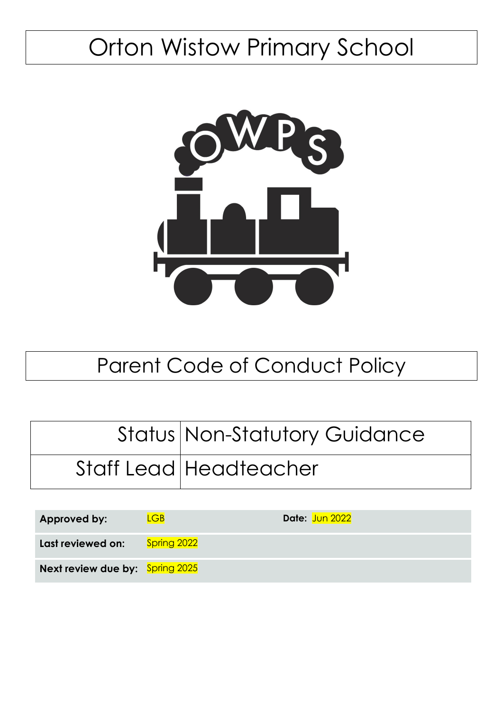# Orton Wistow Primary School



# Parent Code of Conduct Policy

| Status Non-Statutory Guidance |
|-------------------------------|
| Staff Lead Headteacher        |

| <b>Approved by:</b>             | $\overline{\mathsf{LGB}}$ | Date: Jun 2022 |
|---------------------------------|---------------------------|----------------|
| Last reviewed on:               | Spring 2022               |                |
| Next review due by: Spring 2025 |                           |                |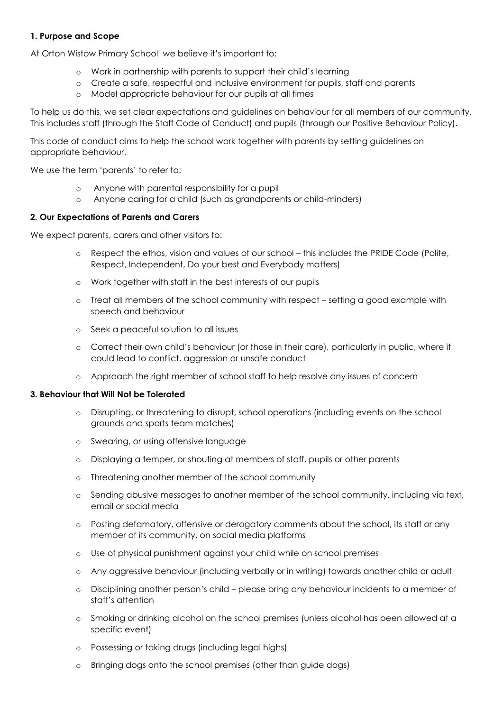## **1. Purpose and Scope**

At Orton Wistow Primary School we believe it's important to:

- o Work in partnership with parents to support their child's learning
- o Create a safe, respectful and inclusive environment for pupils, staff and parents
- o Model appropriate behaviour for our pupils at all times

To help us do this, we set clear expectations and guidelines on behaviour for all members of our community. This includes staff (through the Staff Code of Conduct) and pupils (through our Positive Behaviour Policy).

This code of conduct aims to help the school work together with parents by setting guidelines on appropriate behaviour.

We use the term 'parents' to refer to:

- o Anyone with parental responsibility for a pupil
- o Anyone caring for a child (such as grandparents or child-minders)

### **2. Our Expectations of Parents and Carers**

We expect parents, carers and other visitors to:

- o Respect the ethos, vision and values of our school this includes the PRIDE Code (Polite, Respect, Independent, Do your best and Everybody matters)
- o Work together with staff in the best interests of our pupils
- o Treat all members of the school community with respect setting a good example with speech and behaviour
- o Seek a peaceful solution to all issues
- o Correct their own child's behaviour (or those in their care), particularly in public, where it could lead to conflict, aggression or unsafe conduct
- o Approach the right member of school staff to help resolve any issues of concern

#### **3. Behaviour that Will Not be Tolerated**

- o Disrupting, or threatening to disrupt, school operations (including events on the school grounds and sports team matches)
- o Swearing, or using offensive language
- o Displaying a temper, or shouting at members of staff, pupils or other parents
- o Threatening another member of the school community
- o Sending abusive messages to another member of the school community, including via text, email or social media
- o Posting defamatory, offensive or derogatory comments about the school, its staff or any member of its community, on social media platforms
- o Use of physical punishment against your child while on school premises
- o Any aggressive behaviour (including verbally or in writing) towards another child or adult
- o Disciplining another person's child please bring any behaviour incidents to a member of staff's attention
- o Smoking or drinking alcohol on the school premises (unless alcohol has been allowed at a specific event)
- o Possessing or taking drugs (including legal highs)
- o Bringing dogs onto the school premises (other than guide dogs)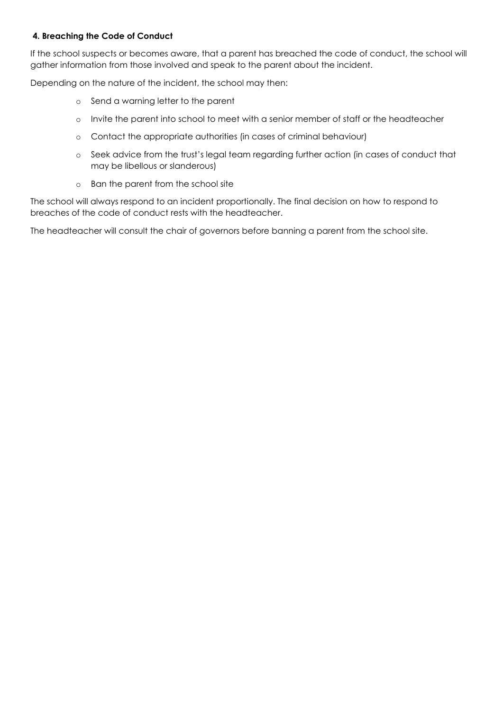# **4. Breaching the Code of Conduct**

If the school suspects or becomes aware, that a parent has breached the code of conduct, the school will gather information from those involved and speak to the parent about the incident.

Depending on the nature of the incident, the school may then:

- o Send a warning letter to the parent
- o Invite the parent into school to meet with a senior member of staff or the headteacher
- o Contact the appropriate authorities (in cases of criminal behaviour)
- o Seek advice from the trust's legal team regarding further action (in cases of conduct that may be libellous or slanderous)
- o Ban the parent from the school site

The school will always respond to an incident proportionally. The final decision on how to respond to breaches of the code of conduct rests with the headteacher.

The headteacher will consult the chair of governors before banning a parent from the school site.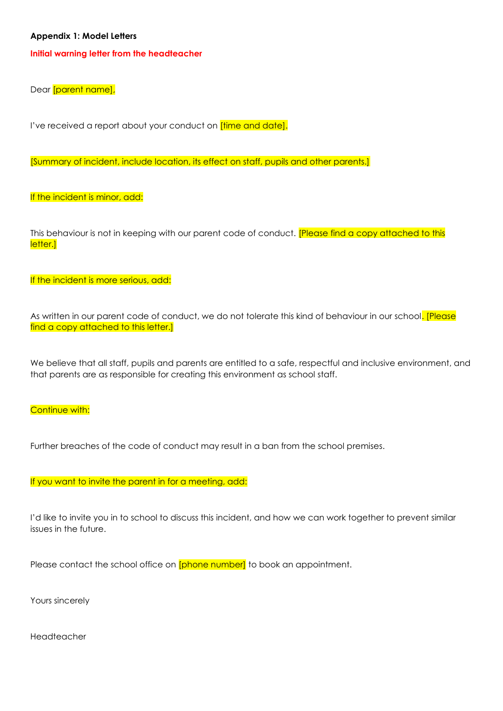#### **Appendix 1: Model Letters**

#### **Initial warning letter from the headteacher**

Dear [parent name],

I've received a report about your conduct on **[time and date].** 

[Summary of incident, include location, its effect on staff, pupils and other parents.]

If the incident is minor, add:

This behaviour is not in keeping with our parent code of conduct. **[Please find a copy attached to this** letter.]

If the incident is more serious, add:

As written in our parent code of conduct, we do not tolerate this kind of behaviour in our school. [Please find a copy attached to this letter.]

We believe that all staff, pupils and parents are entitled to a safe, respectful and inclusive environment, and that parents are as responsible for creating this environment as school staff.

**Continue with:** 

Further breaches of the code of conduct may result in a ban from the school premises.

If you want to invite the parent in for a meeting, add:

I'd like to invite you in to school to discuss this incident, and how we can work together to prevent similar issues in the future.

Please contact the school office on **[phone number]** to book an appointment.

Yours sincerely

Headteacher